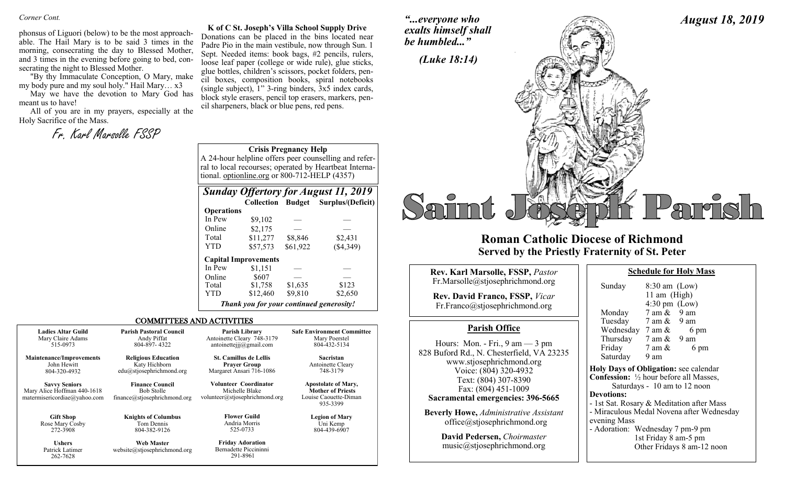*Corner Cont.* 

phonsus of Liguori (below) to be the most approachable. The Hail Mary is to be said 3 times in the morning, consecrating the day to Blessed Mother, and 3 times in the evening before going to bed, consecrating the night to Blessed Mother.

"By thy Immaculate Conception, O Mary, make my body pure and my soul holy." Hail Mary… x3

May we have the devotion to Mary God has meant us to have!

All of you are in my prayers, especially at the Holy Sacrifice of the Mass.

Fr. Karl Marsolle FSSP

**K of C St. Joseph's Villa School Supply Drive** Donations can be placed in the bins located near Padre Pio in the main vestibule, now through Sun. 1 Sept. Needed items: book bags, #2 pencils, rulers, loose leaf paper (college or wide rule), glue sticks, glue bottles, children's scissors, pocket folders, pencil boxes, composition books, spiral notebooks (single subject), 1" 3-ring binders, 3x5 index cards, block style erasers, pencil top erasers, markers, pencil sharpeners, black or blue pens, red pens.

*"...everyone who exalts himself shall be humbled..."*



## **Roman Catholic Diocese of Richmond Served by the Priestly Fraternity of St. Peter**

| Rev. Karl Marsolle, FSSP, Pastor                                                                                                                    | <b>Schedule for Holy Mass</b>                                                                                                                                    |
|-----------------------------------------------------------------------------------------------------------------------------------------------------|------------------------------------------------------------------------------------------------------------------------------------------------------------------|
| Fr.Marsolle@stjosephrichmond.org<br><b>Rev. David Franco, FSSP, Vicar</b><br>Fr.Franco@stjosephrichmond.org                                         | $8:30$ am (Low)<br>Sunday<br>11 am $(High)$<br>$4:30 \text{ pm}$ (Low)<br>$7$ am $\&$ 9 am<br>Monday                                                             |
| <b>Parish Office</b>                                                                                                                                | Tuesday 7 am & 9 am<br>Wednesday $7 \text{ am } \&$<br>6 pm                                                                                                      |
| Hours: Mon. - Fri., $9 \text{ am} - 3 \text{ pm}$<br>828 Buford Rd., N. Chesterfield, VA 23235<br>www.stjosephrichmond.org<br>Voice: (804) 320-4932 | Thursday $7 \text{ am } \& 9 \text{ am}$<br>Friday<br>7 am &<br>6 pm<br>Saturday<br>9 am<br>Holy Days of Obligation: see calenda                                 |
| Text: (804) 307-8390<br>Fax: (804) 451-1009<br>Sacramental emergencies: 396-5665                                                                    | <b>Confession:</b> 1/2 hour before all Masses<br>Saturdays - 10 am to 12 noon<br><b>Devotions:</b><br>- 1st Sat. Rosary & Meditation after M                     |
| <b>Beverly Howe, Administrative Assistant</b><br>office@stjosephrichmond.org<br>Dovid Podorson Choirmastor                                          | - Miraculous Medal Novena after Wed<br>evening Mass<br>- Adoration: Wednesday 7 pm-9 pm<br>$1.4 \text{ F}$ . $1.3 \text{ F}$ . $0.5 \text{ F}$ . $1.3 \text{ F}$ |

| David Pedersen, Choirmaster |  |
|-----------------------------|--|
| music@stjosephrichmond.org  |  |

| 11 am (High)                                             |                              |                                           |
|----------------------------------------------------------|------------------------------|-------------------------------------------|
|                                                          | $4:30 \text{ pm}$ (Low)      |                                           |
| Monday                                                   | $7$ am $\&$ 9 am             |                                           |
| Tuesday $7 \text{ am } \& 9 \text{ am}$                  |                              |                                           |
| Wednesday $7 \text{ am } \&$                             |                              | 6 pm                                      |
| Thursday $7 \text{ am } \& 9 \text{ am}$                 |                              |                                           |
| Friday                                                   | 7 am &                       | 6 pm                                      |
| Saturday                                                 | 9 am                         |                                           |
| Holy Days of Obligation: see calendar                    |                              |                                           |
| <b>Confession:</b> $\frac{1}{2}$ hour before all Masses, |                              |                                           |
|                                                          | Saturdays - 10 am to 12 noon |                                           |
| <b>Devotions:</b>                                        |                              |                                           |
| - 1st Sat. Rosary & Meditation after Mass                |                              |                                           |
|                                                          |                              | - Miraculous Medal Novena after Wednesday |
| evening Mass                                             |                              |                                           |
| - Adoration: Wednesday 7 pm-9 pm                         |                              |                                           |
|                                                          | 1st Friday 8 am-5 pm         |                                           |
|                                                          |                              | Other Fridays 8 am-12 noon                |

*August 18, 2019*

#### **Crisis Pregnancy Help**

A 24-hour helpline offers peer counselling and referral to local recourses; operated by Heartbeat International. optionline.org or 800-712-HELP (4357)

| <b>Sunday Offertory for August 11, 2019</b> |                                          |          |                                     |
|---------------------------------------------|------------------------------------------|----------|-------------------------------------|
|                                             |                                          |          | Collection Budget Surplus/(Deficit) |
| <b>Operations</b>                           |                                          |          |                                     |
| In Pew                                      | \$9,102                                  |          |                                     |
| Online                                      | \$2,175                                  |          |                                     |
| Total                                       | \$11,277                                 | \$8,846  | \$2,431                             |
| <b>YTD</b>                                  | \$57,573                                 | \$61,922 | (\$4,349)                           |
|                                             | <b>Capital Improvements</b>              |          |                                     |
| In Pew                                      | \$1,151                                  |          |                                     |
| Online                                      | \$607                                    |          |                                     |
| Total                                       | \$1,758                                  | \$1,635  | \$123                               |
| <b>YTD</b>                                  | \$12,460                                 | \$9,810  | \$2,650                             |
|                                             | Thank you for your continued generosity! |          |                                     |

#### COMMITTEES AND ACTIVITIES

| <b>Ladies Altar Guild</b>                                                           | <b>Parish Pastoral Council</b>                                              | <b>Parish Library</b>                                                            | <b>Safe Environment Committee</b>                                                           |
|-------------------------------------------------------------------------------------|-----------------------------------------------------------------------------|----------------------------------------------------------------------------------|---------------------------------------------------------------------------------------------|
| Mary Claire Adams                                                                   | Andy Piffat                                                                 | Antoinette Cleary 748-3179                                                       | Mary Poerstel                                                                               |
| 515-0973                                                                            | 804-897-4322                                                                | antoinettejjj $@g$ mail.com                                                      | 804-432-5134                                                                                |
| <b>Maintenance/Improvements</b>                                                     | <b>Religious Education</b>                                                  | <b>St. Camillus de Lellis</b>                                                    | <b>Sacristan</b>                                                                            |
| John Hewitt                                                                         | Katy Hichborn                                                               | <b>Praver Group</b>                                                              | Antoinette Cleary                                                                           |
| 804-320-4932                                                                        | edu@stjosephrichmond.org                                                    | Margaret Ansari 716-1086                                                         | 748-3179                                                                                    |
| <b>Savvy Seniors</b><br>Mary Alice Hoffman 440-1618<br>matermisericordiae@yahoo.com | <b>Finance Council</b><br><b>Bob Stolle</b><br>finance@stjosephrichmond.org | <b>Volunteer Coordinator</b><br>Michelle Blake<br>volunteer@stjosephrichmond.org | <b>Apostolate of Mary,</b><br><b>Mother of Priests</b><br>Louise Caouette-Diman<br>935-3399 |
| <b>Gift Shop</b>                                                                    | <b>Knights of Columbus</b>                                                  | <b>Flower Guild</b>                                                              | <b>Legion of Mary</b>                                                                       |
| Rose Mary Cosby                                                                     | Tom Dennis                                                                  | Andria Morris                                                                    | Uni Kemp                                                                                    |
| 272-3908                                                                            | 804-382-9126                                                                | 525-0733                                                                         | 804-439-6907                                                                                |
| <b>Ushers</b>                                                                       | <b>Web Master</b>                                                           | <b>Friday Adoration</b>                                                          |                                                                                             |

**Ushers** Patrick Latimer 262-7628

**Web Master** website@stjosephrichmond.org

Bernadette Piccininni 291-8961